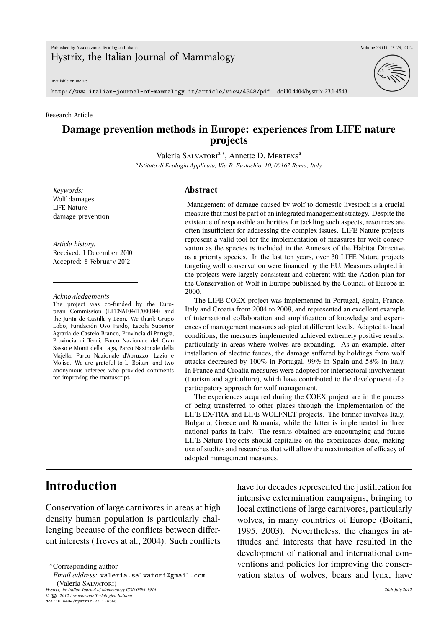Available online at:

http://www.italian-journal-of-mammalogy.it/article/view/4548/pdf doi:10.4404/hystrix-23.1-4548

#### Research Article

#### **Damage prevention methods in Europe: experiences from LIFE nature projects**

Valeria SALVATORI<sup>a,\*</sup>, Annette D. MERTENS<sup>a</sup>

*a Istituto di Ecologia Applicata, Via B. Eustachio, 10, 00162 Roma, Italy*

*Keywords:* Wolf damages LIFE Nature damage prevention

*Article history:* Received: 1 December 2010 Accepted: 8 February 2012

#### *Acknowledgements*

The project was co-funded by the European Commission (LIFENAT04/IT/000144) and the Junta de Castilla y Léon. We thank Grupo Lobo, Fundación Oso Pardo, Escola Superior Agraria de Castelo Branco, Provincia di Perugia, Provincia di Terni, Parco Nazionale del Gran Sasso e Monti della Laga, Parco Nazionale della Majella, Parco Nazionale d'Abruzzo, Lazio e Molise. We are grateful to L. Boitani and two anonymous referees who provided comments for improving the manuscript.

#### **Abstract**

Management of damage caused by wolf to domestic livestock is a crucial measure that must be part of an integrated management strategy. Despite the existence of responsible authorities for tackling such aspects, resources are often insufficient for addressing the complex issues. LIFE Nature projects represent a valid tool for the implementation of measures for wolf conservation as the species is included in the Annexes of the Habitat Directive as a priority species. In the last ten years, over 30 LIFE Nature projects targeting wolf conservation were financed by the EU. Measures adopted in the projects were largely consistent and coherent with the Action plan for the Conservation of Wolf in Europe published by the Council of Europe in 2000.

The LIFE COEX project was implemented in Portugal, Spain, France, Italy and Croatia from 2004 to 2008, and represented an excellent example of international collaboration and amplification of knowledge and experiences of management measures adopted at different levels. Adapted to local conditions, the measures implemented achieved extremely positive results, particularly in areas where wolves are expanding. As an example, after installation of electric fences, the damage suffered by holdings from wolf attacks decreased by 100% in Portugal, 99% in Spain and 58% in Italy. In France and Croatia measures were adopted for intersectoral involvement (tourism and agriculture), which have contributed to the development of a participatory approach for wolf management.

The experiences acquired during the COEX project are in the process of being transferred to other places through the implementation of the LIFE EX-TRA and LIFE WOLFNET projects. The former involves Italy, Bulgaria, Greece and Romania, while the latter is implemented in three national parks in Italy. The results obtained are encouraging and future LIFE Nature Projects should capitalise on the experiences done, making use of studies and researches that will allow the maximisation of efficacy of adopted management measures.

## **Introduction**

Conservation of large carnivores in areas at high density human population is particularly challenging because of the conflicts between different interests (Treves at al., 2004). Such conflicts

*Hystrix, the Italian Journal of Mammalogy ISSN 0394-1914 20th July 2012 ©* **CC** *2012 Associazione Teriologica Italiana*

doi:10.4404/hystrix-23.1-4548

have for decades represented the justification for intensive extermination campaigns, bringing to local extinctions of large carnivores, particularly wolves, in many countries of Europe (Boitani, 1995, 2003). Nevertheless, the changes in attitudes and interests that have resulted in the development of national and international conventions and policies for improving the conservation status of wolves, bears and lynx, have



<sup>∗</sup>Corresponding author

*Email address:* valeria.salvatori@gmail.com (Valeria SALVATORI)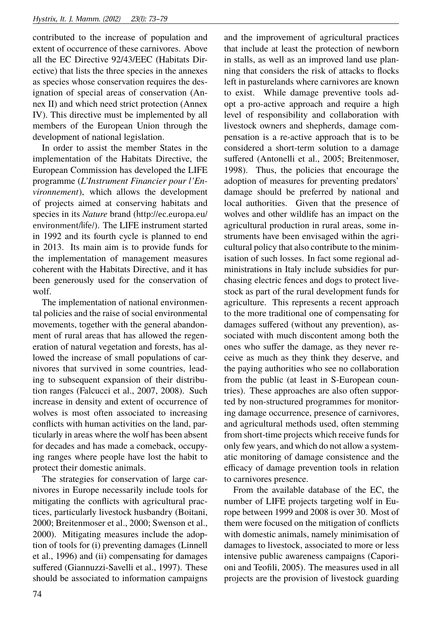contributed to the increase of population and extent of occurrence of these carnivores. Above all the EC Directive 92/43/EEC (Habitats Directive) that lists the three species in the annexes as species whose conservation requires the designation of special areas of conservation (Annex II) and which need strict protection (Annex IV). This directive must be implemented by all members of the European Union through the development of national legislation.

In order to assist the member States in the implementation of the Habitats Directive, the European Commission has developed the LIFE programme (*L'Instrument Financier pour l'Environnement*), which allows the development of projects aimed at conserving habitats and species in its *Nature* brand (http://ec.europa.eu/ environment/life/). The LIFE instrument started in 1992 and its fourth cycle is planned to end in 2013. Its main aim is to provide funds for the implementation of management measures coherent with the Habitats Directive, and it has been generously used for the conservation of wolf.

The implementation of national environmental policies and the raise of social environmental movements, together with the general abandonment of rural areas that has allowed the regeneration of natural vegetation and forests, has allowed the increase of small populations of carnivores that survived in some countries, leading to subsequent expansion of their distribution ranges (Falcucci et al., 2007, 2008). Such increase in density and extent of occurrence of wolves is most often associated to increasing conflicts with human activities on the land, particularly in areas where the wolf has been absent for decades and has made a comeback, occupying ranges where people have lost the habit to protect their domestic animals.

The strategies for conservation of large carnivores in Europe necessarily include tools for mitigating the conflicts with agricultural practices, particularly livestock husbandry (Boitani, 2000; Breitenmoser et al., 2000; Swenson et al., 2000). Mitigating measures include the adoption of tools for (i) preventing damages (Linnell et al., 1996) and (ii) compensating for damages suffered (Giannuzzi-Savelli et al., 1997). These should be associated to information campaigns and the improvement of agricultural practices that include at least the protection of newborn in stalls, as well as an improved land use planning that considers the risk of attacks to flocks left in pasturelands where carnivores are known to exist. While damage preventive tools adopt a pro-active approach and require a high level of responsibility and collaboration with livestock owners and shepherds, damage compensation is a re-active approach that is to be considered a short-term solution to a damage suffered (Antonelli et al., 2005; Breitenmoser, 1998). Thus, the policies that encourage the adoption of measures for preventing predators' damage should be preferred by national and local authorities. Given that the presence of wolves and other wildlife has an impact on the agricultural production in rural areas, some instruments have been envisaged within the agricultural policy that also contribute to the minimisation of such losses. In fact some regional administrations in Italy include subsidies for purchasing electric fences and dogs to protect livestock as part of the rural development funds for agriculture. This represents a recent approach to the more traditional one of compensating for damages suffered (without any prevention), associated with much discontent among both the ones who suffer the damage, as they never receive as much as they think they deserve, and the paying authorities who see no collaboration from the public (at least in S-European countries). These approaches are also often supported by non-structured programmes for monitoring damage occurrence, presence of carnivores, and agricultural methods used, often stemming from short-time projects which receive funds for only few years, and which do not allow a systematic monitoring of damage consistence and the efficacy of damage prevention tools in relation to carnivores presence.

From the available database of the EC, the number of LIFE projects targeting wolf in Europe between 1999 and 2008 is over 30. Most of them were focused on the mitigation of conflicts with domestic animals, namely minimisation of damages to livestock, associated to more or less intensive public awareness campaigns (Caporioni and Teofili, 2005). The measures used in all projects are the provision of livestock guarding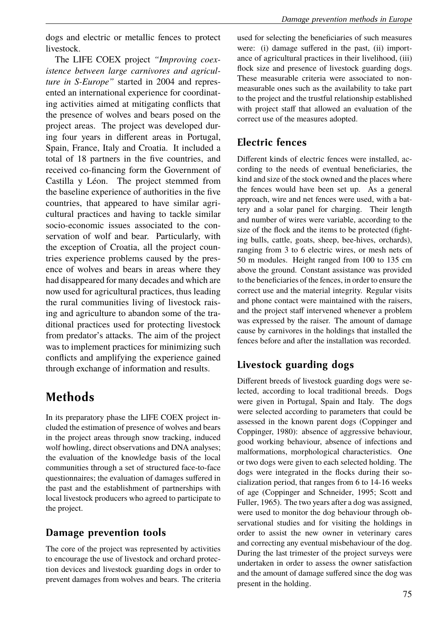The LIFE COEX project *"Improving coexistence between large carnivores and agriculture in S-Europe"* started in 2004 and represented an international experience for coordinating activities aimed at mitigating conflicts that the presence of wolves and bears posed on the project areas. The project was developed during four years in different areas in Portugal, Spain, France, Italy and Croatia. It included a total of 18 partners in the five countries, and received co-financing form the Government of Castilla y Léon. The project stemmed from the baseline experience of authorities in the five countries, that appeared to have similar agricultural practices and having to tackle similar socio-economic issues associated to the conservation of wolf and bear. Particularly, with the exception of Croatia, all the project countries experience problems caused by the presence of wolves and bears in areas where they had disappeared for many decades and which are now used for agricultural practices, thus leading the rural communities living of livestock raising and agriculture to abandon some of the traditional practices used for protecting livestock from predator's attacks. The aim of the project was to implement practices for minimizing such conflicts and amplifying the experience gained through exchange of information and results.

# **Methods**

In its preparatory phase the LIFE COEX project included the estimation of presence of wolves and bears in the project areas through snow tracking, induced wolf howling, direct observations and DNA analyses; the evaluation of the knowledge basis of the local communities through a set of structured face-to-face questionnaires; the evaluation of damages suffered in the past and the establishment of partnerships with local livestock producers who agreed to participate to the project.

## **Damage prevention tools**

The core of the project was represented by activities to encourage the use of livestock and orchard protection devices and livestock guarding dogs in order to prevent damages from wolves and bears. The criteria

used for selecting the beneficiaries of such measures were: (i) damage suffered in the past, (ii) importance of agricultural practices in their livelihood, (iii) flock size and presence of livestock guarding dogs. These measurable criteria were associated to nonmeasurable ones such as the availability to take part to the project and the trustful relationship established with project staff that allowed an evaluation of the correct use of the measures adopted.

## **Electric fences**

Different kinds of electric fences were installed, according to the needs of eventual beneficiaries, the kind and size of the stock owned and the places where the fences would have been set up. As a general approach, wire and net fences were used, with a battery and a solar panel for charging. Their length and number of wires were variable, according to the size of the flock and the items to be protected (fighting bulls, cattle, goats, sheep, bee-hives, orchards), ranging from 3 to 6 electric wires, or mesh nets of 50 m modules. Height ranged from 100 to 135 cm above the ground. Constant assistance was provided to the beneficiaries of the fences, in order to ensure the correct use and the material integrity. Regular visits and phone contact were maintained with the raisers, and the project staff intervened whenever a problem was expressed by the raiser. The amount of damage cause by carnivores in the holdings that installed the fences before and after the installation was recorded.

## **Livestock guarding dogs**

Different breeds of livestock guarding dogs were selected, according to local traditional breeds. Dogs were given in Portugal, Spain and Italy. The dogs were selected according to parameters that could be assessed in the known parent dogs (Coppinger and Coppinger, 1980): absence of aggressive behaviour, good working behaviour, absence of infections and malformations, morphological characteristics. One or two dogs were given to each selected holding. The dogs were integrated in the flocks during their socialization period, that ranges from 6 to 14-16 weeks of age (Coppinger and Schneider, 1995; Scott and Fuller, 1965). The two years after a dog was assigned, were used to monitor the dog behaviour through observational studies and for visiting the holdings in order to assist the new owner in veterinary cares and correcting any eventual misbehaviour of the dog. During the last trimester of the project surveys were undertaken in order to assess the owner satisfaction and the amount of damage suffered since the dog was present in the holding.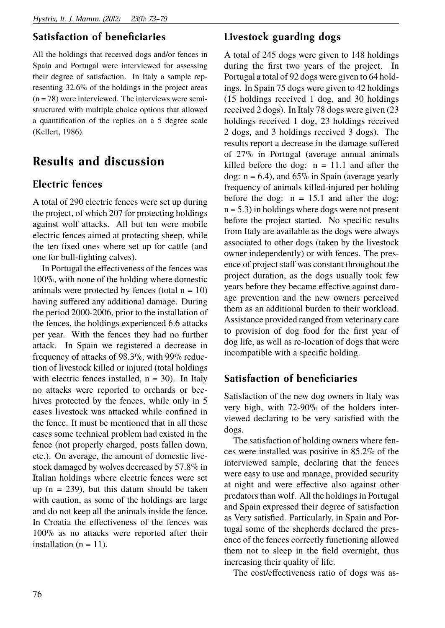### **Satisfaction of beneficiaries**

All the holdings that received dogs and/or fences in Spain and Portugal were interviewed for assessing their degree of satisfaction. In Italy a sample representing 32.6% of the holdings in the project areas  $(n = 78)$  were interviewed. The interviews were semistructured with multiple choice options that allowed a quantification of the replies on a 5 degree scale (Kellert, 1986).

## **Results and discussion**

#### **Electric fences**

A total of 290 electric fences were set up during the project, of which 207 for protecting holdings against wolf attacks. All but ten were mobile electric fences aimed at protecting sheep, while the ten fixed ones where set up for cattle (and one for bull-fighting calves).

In Portugal the effectiveness of the fences was 100%, with none of the holding where domestic animals were protected by fences (total  $n = 10$ ) having suffered any additional damage. During the period 2000-2006, prior to the installation of the fences, the holdings experienced 6.6 attacks per year. With the fences they had no further attack. In Spain we registered a decrease in frequency of attacks of 98.3%, with 99% reduction of livestock killed or injured (total holdings with electric fences installed,  $n = 30$ ). In Italy no attacks were reported to orchards or beehives protected by the fences, while only in 5 cases livestock was attacked while confined in the fence. It must be mentioned that in all these cases some technical problem had existed in the fence (not properly charged, posts fallen down, etc.). On average, the amount of domestic livestock damaged by wolves decreased by 57.8% in Italian holdings where electric fences were set up  $(n = 239)$ , but this datum should be taken with caution, as some of the holdings are large and do not keep all the animals inside the fence. In Croatia the effectiveness of the fences was 100% as no attacks were reported after their installation ( $n = 11$ ).

### **Livestock guarding dogs**

A total of 245 dogs were given to 148 holdings during the first two years of the project. In Portugal a total of 92 dogs were given to 64 holdings. In Spain 75 dogs were given to 42 holdings (15 holdings received 1 dog, and 30 holdings received 2 dogs). In Italy 78 dogs were given (23 holdings received 1 dog, 23 holdings received 2 dogs, and 3 holdings received 3 dogs). The results report a decrease in the damage suffered of 27% in Portugal (average annual animals killed before the dog:  $n = 11.1$  and after the dog:  $n = 6.4$ ), and  $65\%$  in Spain (average yearly frequency of animals killed-injured per holding before the dog:  $n = 15.1$  and after the dog:  $n = 5.3$ ) in holdings where dogs were not present before the project started. No specific results from Italy are available as the dogs were always associated to other dogs (taken by the livestock owner independently) or with fences. The presence of project staff was constant throughout the project duration, as the dogs usually took few years before they became effective against damage prevention and the new owners perceived them as an additional burden to their workload. Assistance provided ranged from veterinary care to provision of dog food for the first year of dog life, as well as re-location of dogs that were incompatible with a specific holding.

#### **Satisfaction of beneficiaries**

Satisfaction of the new dog owners in Italy was very high, with 72-90% of the holders interviewed declaring to be very satisfied with the dogs.

The satisfaction of holding owners where fences were installed was positive in 85.2% of the interviewed sample, declaring that the fences were easy to use and manage, provided security at night and were effective also against other predators than wolf. All the holdings in Portugal and Spain expressed their degree of satisfaction as Very satisfied. Particularly, in Spain and Portugal some of the shepherds declared the presence of the fences correctly functioning allowed them not to sleep in the field overnight, thus increasing their quality of life.

The cost/effectiveness ratio of dogs was as-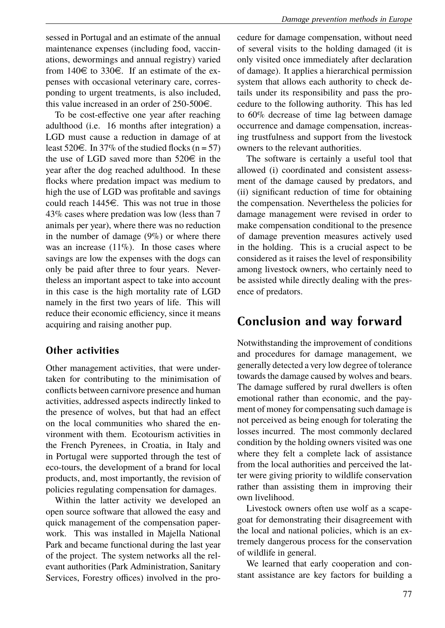sessed in Portugal and an estimate of the annual maintenance expenses (including food, vaccinations, dewormings and annual registry) varied from 140 $\in$  to 330 $\in$ . If an estimate of the expenses with occasional veterinary care, corresponding to urgent treatments, is also included, this value increased in an order of  $250-500 \in$ .

To be cost-effective one year after reaching adulthood (i.e. 16 months after integration) a LGD must cause a reduction in damage of at least  $520 \in$ . In 37% of the studied flocks (n = 57) the use of LGD saved more than  $520 \in \mathbb{R}$  in the year after the dog reached adulthood. In these flocks where predation impact was medium to high the use of LGD was profitable and savings could reach  $1445\epsilon$ . This was not true in those 43% cases where predation was low (less than 7 animals per year), where there was no reduction in the number of damage  $(9\%)$  or where there was an increase  $(11\%)$ . In those cases where savings are low the expenses with the dogs can only be paid after three to four years. Nevertheless an important aspect to take into account in this case is the high mortality rate of LGD namely in the first two years of life. This will reduce their economic efficiency, since it means acquiring and raising another pup.

#### **Other activities**

Other management activities, that were undertaken for contributing to the minimisation of conflicts between carnivore presence and human activities, addressed aspects indirectly linked to the presence of wolves, but that had an effect on the local communities who shared the environment with them. Ecotourism activities in the French Pyrenees, in Croatia, in Italy and in Portugal were supported through the test of eco-tours, the development of a brand for local products, and, most importantly, the revision of policies regulating compensation for damages.

Within the latter activity we developed an open source software that allowed the easy and quick management of the compensation paperwork. This was installed in Majella National Park and became functional during the last year of the project. The system networks all the relevant authorities (Park Administration, Sanitary Services, Forestry offices) involved in the procedure for damage compensation, without need of several visits to the holding damaged (it is only visited once immediately after declaration of damage). It applies a hierarchical permission system that allows each authority to check details under its responsibility and pass the procedure to the following authority. This has led to 60% decrease of time lag between damage occurrence and damage compensation, increasing trustfulness and support from the livestock owners to the relevant authorities.

The software is certainly a useful tool that allowed (i) coordinated and consistent assessment of the damage caused by predators, and (ii) significant reduction of time for obtaining the compensation. Nevertheless the policies for damage management were revised in order to make compensation conditional to the presence of damage prevention measures actively used in the holding. This is a crucial aspect to be considered as it raises the level of responsibility among livestock owners, who certainly need to be assisted while directly dealing with the presence of predators.

## **Conclusion and way forward**

Notwithstanding the improvement of conditions and procedures for damage management, we generally detected a very low degree of tolerance towards the damage caused by wolves and bears. The damage suffered by rural dwellers is often emotional rather than economic, and the payment of money for compensating such damage is not perceived as being enough for tolerating the losses incurred. The most commonly declared condition by the holding owners visited was one where they felt a complete lack of assistance from the local authorities and perceived the latter were giving priority to wildlife conservation rather than assisting them in improving their own livelihood.

Livestock owners often use wolf as a scapegoat for demonstrating their disagreement with the local and national policies, which is an extremely dangerous process for the conservation of wildlife in general.

We learned that early cooperation and constant assistance are key factors for building a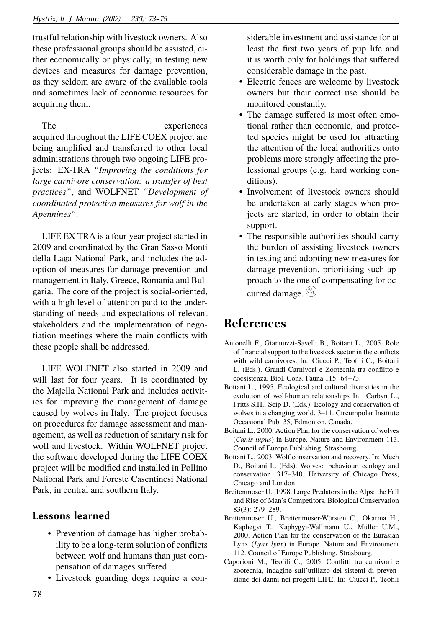trustful relationship with livestock owners. Also these professional groups should be assisted, either economically or physically, in testing new devices and measures for damage prevention, as they seldom are aware of the available tools and sometimes lack of economic resources for acquiring them.

The experiences acquired throughout the LIFE COEX project are being amplified and transferred to other local administrations through two ongoing LIFE projects: EX-TRA *"Improving the conditions for large carnivore conservation: a transfer of best practices"*, and WOLFNET *"Development of coordinated protection measures for wolf in the Apennines"*.

LIFE EX-TRA is a four-year project started in 2009 and coordinated by the Gran Sasso Monti della Laga National Park, and includes the adoption of measures for damage prevention and management in Italy, Greece, Romania and Bulgaria. The core of the project is social-oriented, with a high level of attention paid to the understanding of needs and expectations of relevant stakeholders and the implementation of negotiation meetings where the main conflicts with these people shall be addressed.

LIFE WOLFNET also started in 2009 and will last for four years. It is coordinated by the Majella National Park and includes activities for improving the management of damage caused by wolves in Italy. The project focuses on procedures for damage assessment and management, as well as reduction of sanitary risk for wolf and livestock. Within WOLFNET project the software developed during the LIFE COEX project will be modified and installed in Pollino National Park and Foreste Casentinesi National Park, in central and southern Italy.

### **Lessons learned**

- Prevention of damage has higher probability to be a long-term solution of conflicts between wolf and humans than just compensation of damages suffered.
- Livestock guarding dogs require a con-

siderable investment and assistance for at least the first two years of pup life and it is worth only for holdings that suffered considerable damage in the past.

- Electric fences are welcome by livestock owners but their correct use should be monitored constantly.
- The damage suffered is most often emotional rather than economic, and protected species might be used for attracting the attention of the local authorities onto problems more strongly affecting the professional groups (e.g. hard working conditions).
- Involvement of livestock owners should be undertaken at early stages when projects are started, in order to obtain their support.
- The responsible authorities should carry the burden of assisting livestock owners in testing and adopting new measures for damage prevention, prioritising such approach to the one of compensating for occurred damage.

## **References**

- Antonelli F., Giannuzzi-Savelli B., Boitani L., 2005. Role of financial support to the livestock sector in the conflicts with wild carnivores. In: Ciucci P., Teofili C., Boitani L. (Eds.). Grandi Carnivori e Zootecnia tra conflitto e coesistenza. Biol. Cons. Fauna 115: 64–73.
- Boitani L., 1995. Ecological and cultural diversities in the evolution of wolf-human relationships In: Carbyn L., Fritts S.H., Seip D. (Eds.). Ecology and conservation of wolves in a changing world. 3–11. Circumpolar Institute Occasional Pub. 35, Edmonton, Canada.
- Boitani L., 2000. Action Plan for the conservation of wolves (*Canis lupus*) in Europe. Nature and Environment 113. Council of Europe Publishing, Strasbourg.
- Boitani L., 2003. Wolf conservation and recovery. In: Mech D., Boitani L. (Eds). Wolves: behaviour, ecology and conservation. 317–340. University of Chicago Press, Chicago and London.
- Breitenmoser U., 1998. Large Predators in the Alps: the Fall and Rise of Man's Competitors. Biological Conservation 83(3): 279–289.
- Breitenmoser U., Breitenmoser-Würsten C., Okarma H., Kaphegyi T., Kaphygyi-Wallmann U., Müller U.M., 2000. Action Plan for the conservation of the Eurasian Lynx (*Lynx lynx*) in Europe. Nature and Environment 112. Council of Europe Publishing, Strasbourg.
- Caporioni M., Teofili C., 2005. Conflitti tra carnivori e zootecnia, indagine sull'utilizzo dei sistemi di prevenzione dei danni nei progetti LIFE. In: Ciucci P., Teofili